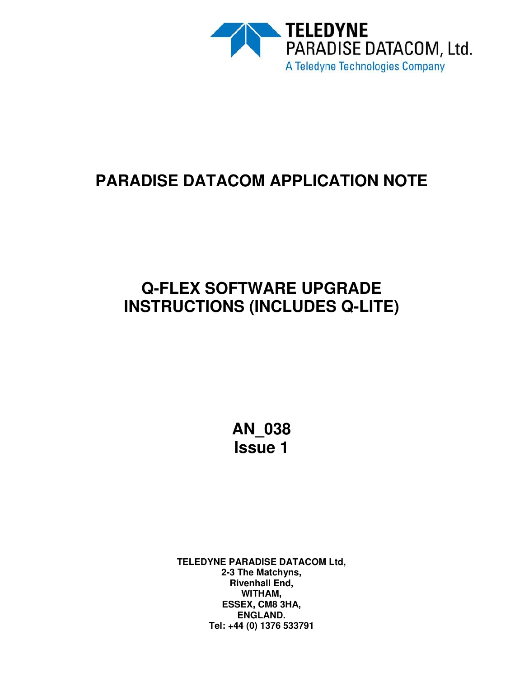

# **PARADISE DATACOM APPLICATION NOTE**

# **Q-FLEX SOFTWARE UPGRADE INSTRUCTIONS (INCLUDES Q-LITE)**

**AN\_038 Issue 1**

**TELEDYNE PARADISE DATACOM Ltd, 2-3 The Matchyns, Rivenhall End, WITHAM, ESSEX, CM8 3HA, ENGLAND. Tel: +44 (0) 1376 533791**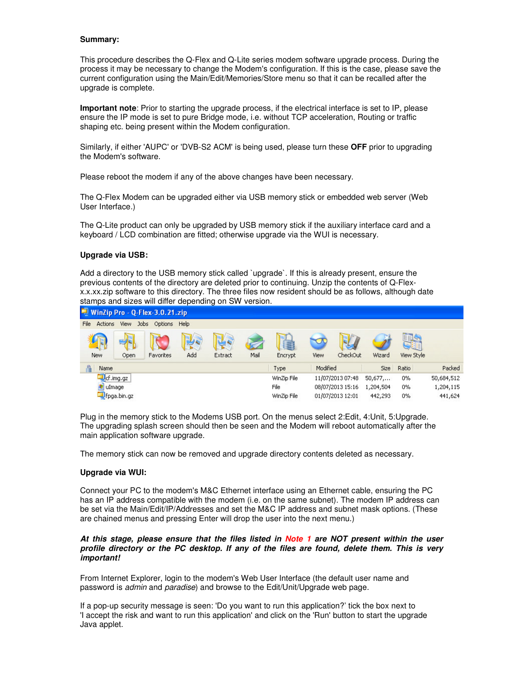## **Summary:**

This procedure describes the Q-Flex and Q-Lite series modem software upgrade process. During the process it may be necessary to change the Modem's configuration. If this is the case, please save the current configuration using the Main/Edit/Memories/Store menu so that it can be recalled after the upgrade is complete.

**Important note**: Prior to starting the upgrade process, if the electrical interface is set to IP, please ensure the IP mode is set to pure Bridge mode, i.e. without TCP acceleration, Routing or traffic shaping etc. being present within the Modem configuration.

Similarly, if either 'AUPC' or 'DVB-S2 ACM' is being used, please turn these **OFF** prior to upgrading the Modem's software.

Please reboot the modem if any of the above changes have been necessary.

The Q-Flex Modem can be upgraded either via USB memory stick or embedded web server (Web User Interface.)

The Q-Lite product can only be upgraded by USB memory stick if the auxiliary interface card and a keyboard / LCD combination are fitted; otherwise upgrade via the WUI is necessary.

### **Upgrade via USB:**

Add a directory to the USB memory stick called `upgrade`. If this is already present, ensure the previous contents of the directory are deleted prior to continuing. Unzip the contents of Q-Flexx.x.xx.zip software to this directory. The three files now resident should be as follows, although date stamps and sizes will differ depending on SW version.



Plug in the memory stick to the Modems USB port. On the menus select 2:Edit, 4:Unit, 5:Upgrade. The upgrading splash screen should then be seen and the Modem will reboot automatically after the main application software upgrade.

The memory stick can now be removed and upgrade directory contents deleted as necessary.

#### **Upgrade via WUI:**

Connect your PC to the modem's M&C Ethernet interface using an Ethernet cable, ensuring the PC has an IP address compatible with the modem (i.e. on the same subnet). The modem IP address can be set via the Main/Edit/IP/Addresses and set the M&C IP address and subnet mask options. (These are chained menus and pressing Enter will drop the user into the next menu.)

### *At this stage, please ensure that the files listed in Note 1 are NOT present within the user profile directory or the PC desktop. If any of the files are found, delete them. This is very important!*

From Internet Explorer, login to the modem's Web User Interface (the default user name and password is *admin* and *paradise*) and browse to the Edit/Unit/Upgrade web page.

If a pop-up security message is seen: 'Do you want to run this application?' tick the box next to 'I accept the risk and want to run this application' and click on the 'Run' button to start the upgrade Java applet.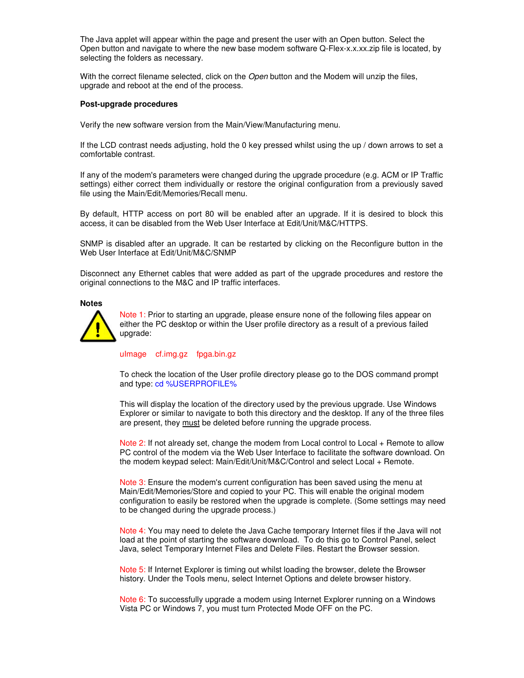The Java applet will appear within the page and present the user with an Open button. Select the Open button and navigate to where the new base modem software Q-Flex-x.x.xx.zip file is located, by selecting the folders as necessary.

With the correct filename selected, click on the *Open* button and the Modem will unzip the files, upgrade and reboot at the end of the process.

#### **Post-upgrade procedures**

Verify the new software version from the Main/View/Manufacturing menu.

If the LCD contrast needs adjusting, hold the 0 key pressed whilst using the up / down arrows to set a comfortable contrast.

If any of the modem's parameters were changed during the upgrade procedure (e.g. ACM or IP Traffic settings) either correct them individually or restore the original configuration from a previously saved file using the Main/Edit/Memories/Recall menu.

By default, HTTP access on port 80 will be enabled after an upgrade. If it is desired to block this access, it can be disabled from the Web User Interface at Edit/Unit/M&C/HTTPS.

SNMP is disabled after an upgrade. It can be restarted by clicking on the Reconfigure button in the Web User Interface at Edit/Unit/M&C/SNMP

Disconnect any Ethernet cables that were added as part of the upgrade procedures and restore the original connections to the M&C and IP traffic interfaces.

#### **Notes**



Note 1: Prior to starting an upgrade, please ensure none of the following files appear on either the PC desktop or within the User profile directory as a result of a previous failed upgrade:

ulmage cf.img.gz fpga.bin.gz

To check the location of the User profile directory please go to the DOS command prompt and type: cd %USERPROFILE%

This will display the location of the directory used by the previous upgrade. Use Windows Explorer or similar to navigate to both this directory and the desktop. If any of the three files are present, they must be deleted before running the upgrade process.

Note 2: If not already set, change the modem from Local control to Local + Remote to allow PC control of the modem via the Web User Interface to facilitate the software download. On the modem keypad select: Main/Edit/Unit/M&C/Control and select Local + Remote.

Note 3: Ensure the modem's current configuration has been saved using the menu at Main/Edit/Memories/Store and copied to your PC. This will enable the original modem configuration to easily be restored when the upgrade is complete. (Some settings may need to be changed during the upgrade process.)

Note 4: You may need to delete the Java Cache temporary Internet files if the Java will not load at the point of starting the software download. To do this go to Control Panel, select Java, select Temporary Internet Files and Delete Files. Restart the Browser session.

Note 5: If Internet Explorer is timing out whilst loading the browser, delete the Browser history. Under the Tools menu, select Internet Options and delete browser history.

Note 6: To successfully upgrade a modem using Internet Explorer running on a Windows Vista PC or Windows 7, you must turn Protected Mode OFF on the PC.